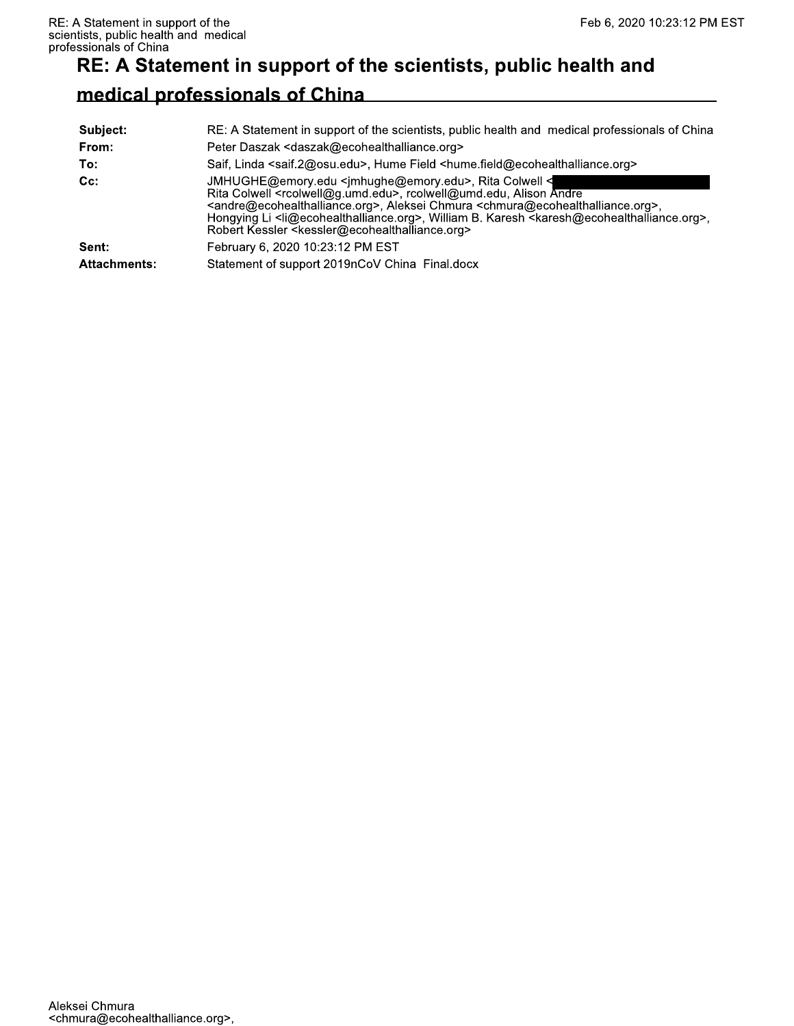## RE: A Statement in support of the scientists, public health and

## medical professionals of China

| Subject:            | RE: A Statement in support of the scientists, public health and medical professionals of China                                                                                                                                                                                                                                                                                                                                                                                                                                                                    |
|---------------------|-------------------------------------------------------------------------------------------------------------------------------------------------------------------------------------------------------------------------------------------------------------------------------------------------------------------------------------------------------------------------------------------------------------------------------------------------------------------------------------------------------------------------------------------------------------------|
| From:               | Peter Daszak <daszak@ecohealthalliance.org></daszak@ecohealthalliance.org>                                                                                                                                                                                                                                                                                                                                                                                                                                                                                        |
| To:                 | Saif, Linda <saif.2@osu.edu>, Hume Field <hume.field@ecohealthalliance.org></hume.field@ecohealthalliance.org></saif.2@osu.edu>                                                                                                                                                                                                                                                                                                                                                                                                                                   |
| $Cc$ :              | JMHUGHE@emory.edu <jmhughe@emory.edu>, Rita Colwell &lt;<br/>Rita Colwell <rcolwell@g.umd.edu>, rcolwell@umd.edu, Alison Andre<br/><andre@ecohealthalliance.org>, Aleksei Chmura <chmura@ecohealthalliance.org>,<br/>Hongying Li <li@ecohealthalliance.org>, William B. Karesh <karesh@ecohealthalliance.org>,<br/>Robert Kessler <kessler@ecohealthalliance.org></kessler@ecohealthalliance.org></karesh@ecohealthalliance.org></li@ecohealthalliance.org></chmura@ecohealthalliance.org></andre@ecohealthalliance.org></rcolwell@g.umd.edu></jmhughe@emory.edu> |
| Sent:               | February 6, 2020 10:23:12 PM EST                                                                                                                                                                                                                                                                                                                                                                                                                                                                                                                                  |
| <b>Attachments:</b> | Statement of support 2019nCoV China Final.docx                                                                                                                                                                                                                                                                                                                                                                                                                                                                                                                    |